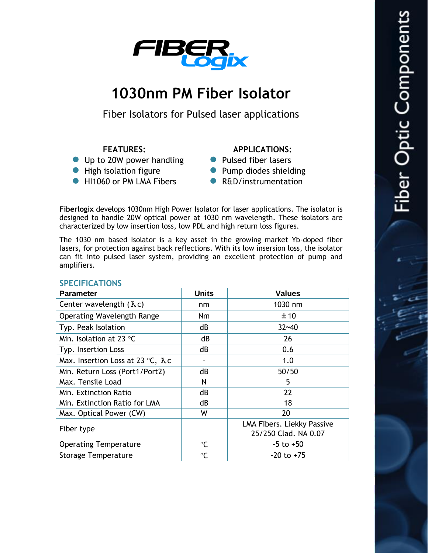

# **1030nm PM Fiber Isolator**

Fiber Isolators for Pulsed laser applications

# **FEATURES:**

- Up to 20W power handling
- High isolation figure
- **INCOLOGY AND HIT HAT HAT HIT PARTS**

## **APPLICATIONS:**

- Pulsed fiber lasers
- Pump diodes shielding
- R&D/instrumentation

**Fiberlogix** develops 1030nm High Power Isolator for laser applications. The isolator is designed to handle 20W optical power at 1030 nm wavelength. These isolators are characterized by low insertion loss, low PDL and high return loss figures.

The 1030 nm based Isolator is a key asset in the growing market Yb-doped fiber lasers, for protection against back reflections. With its low insersion loss, the isolator can fit into pulsed laser system, providing an excellent protection of pump and amplifiers.

| <b>Parameter</b>                          | <b>Units</b> | <b>Values</b>                                      |
|-------------------------------------------|--------------|----------------------------------------------------|
| Center wavelength $(\lambda c)$           | nm           | 1030 nm                                            |
| <b>Operating Wavelength Range</b>         | Nm           | ±10                                                |
| Typ. Peak Isolation                       | dB           | $32 - 40$                                          |
| Min. Isolation at 23 $\degree$ C          | dB           | 26                                                 |
| Typ. Insertion Loss                       | dB           | 0.6                                                |
| Max. Insertion Loss at 23 °C, $\lambda$ c |              | 1.0                                                |
| Min. Return Loss (Port1/Port2)            | dB           | 50/50                                              |
| Max. Tensile Load                         | Ν            | 5                                                  |
| Min. Extinction Ratio                     | dB           | 22                                                 |
| Min. Extinction Ratio for LMA             | dB           | 18                                                 |
| Max. Optical Power (CW)                   | W            | 20                                                 |
| Fiber type                                |              | LMA Fibers. Liekky Passive<br>25/250 Clad. NA 0.07 |
| <b>Operating Temperature</b>              | °C           | $-5$ to $+50$                                      |
| <b>Storage Temperature</b>                | $\circ$ C    | $-20$ to $+75$                                     |

#### **SPECIFICATIONS**